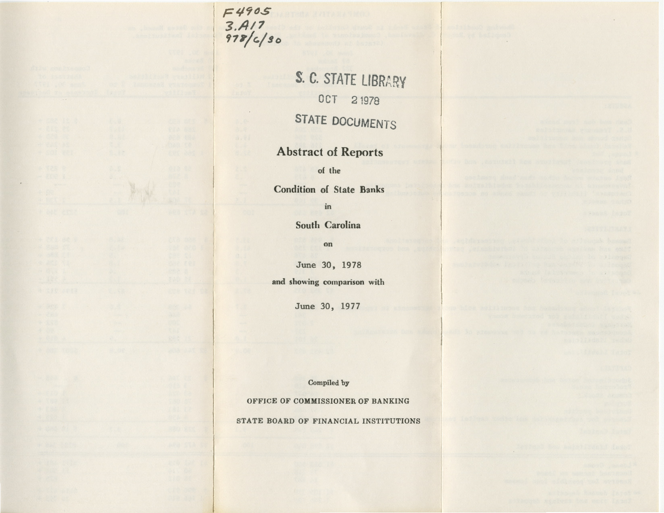*F49C..S 3./417 '17¥/c.jso* 

> S. C. STATE LIBRARY OCT 21978 STATE DOCUMENTS

## Abstract of Reports

of the

Condition of State Banks

in

South Carolina

on

June 30, 1978

and showing comparison with

June 30, 1977

Compiled by

OFFICE OF COMMISSIONER OF BANKING

STATE BOARD OF FINANCIAL INSTITUTIONS